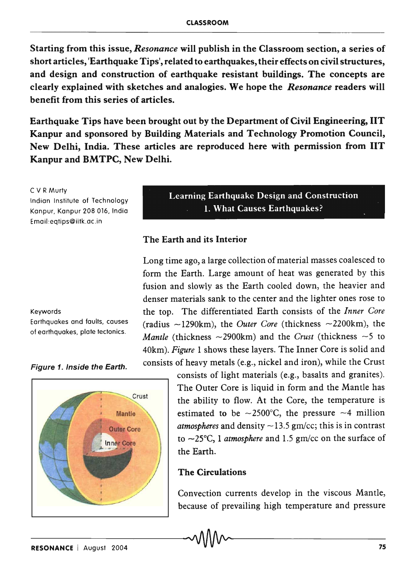Starting from this issue, *Resonance* will publish in the Classroom section, a series of short articles, 'Earthquake Tips', related to earthquakes, their effects on civil structures, and design and construction of earthquake resistant buildings. The concepts are clearly explained with sketches and analogies. We hope the *Resonance* readers will benefit from this series of articles.

Earthquake Tips have been brought out by the Department of Civil Engineering, liT Kanpur and sponsored by Building Materials and Technology Promotion Council, New Delhi, India. These articles are reproduced here with permission from lIT Kanpur and BMTPC, New Delhi.

C V R Murty

Indian Institute of Technology Kanpur, Kanpur 208 016, India Email:eqtips@iitk.ac.in

#### Keywords

Earthquakes and faults, causes of earthquakes, plate tectonics.

Figure 1. Inside the Earth.



Learning Earthquake Design and Construction 1. What Causes Earthquakes?

## The Earth and its Interior

Long time ago, a large collection of material masses coalesced to form the Earth. Large amount of heat was generated by this fusion and slowly as the Earth cooled down, the heavier and denser materials sank to the center and the lighter ones rose to the top. The differentiated Earth consists of the *Inner Core*  (radius -1290km), the *Outer Core* (thickness -2200km), the *Mantle* (thickness  $\sim$  2900km) and the *Crust* (thickness  $\sim$  5 to 40km). *Figure* 1 shows these layers. The Inner Core is solid and consists of heavy metals (e.g., nickel and iron), while the Crust

> consists of light materials (e.g., basalts and granites). The Outer Core is liquid in form and the Mantle has the ability to flow. At the Core, the temperature is estimated to be  $\sim$ 2500°C, the pressure  $\sim$ 4 million *atmospheres* and density  $\sim$ 13.5 gm/cc; this is in contrast to  $\sim$ 25 $\degree$ C, 1 *atmosphere* and 1.5 gm/cc on the surface of the Earth.

## The Circulations

Convection currents develop in the viscous Mantle, because of prevailing high temperature and pressure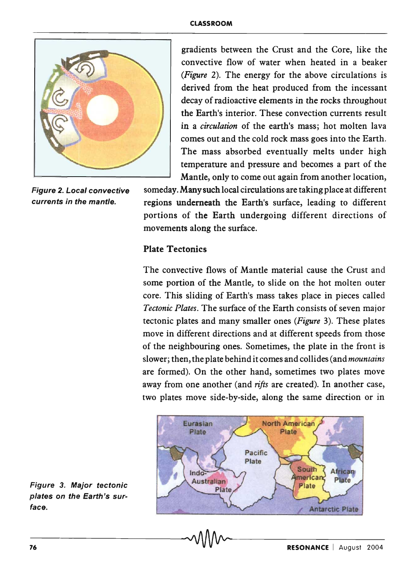

gradients between the Crust and the Core, like the convective flow of water when heated in a beaker *(Figure* 2). The energy for the above circulations is derived from the heat produced from the incessant decay of radioactive elements in the rocks throughout the Earth's interior. These convection currents result in a *circulation* of the earth's mass; hot molten lava comes out and the cold rock mass goes into the Earth. The mass absorbed eventually melts under high temperature and pressure and becomes a part of the Mantle, only to come out again from another location,

Figure 2. Local convective someday. Many such local circulations are taking place at different currents in the mantle. regions underneath the Earth's surface, leading to different portions of the Earth undergoing different directions of movements along the surface.

# Plate Tectonics

The convective flows of Mantle material cause the Crust and some portion of the Mantle, to slide on the hot molten outer core. This sliding of Earth's mass takes place in pieces called *Tectonic Plates.* The surface of the Earth consists of seven major tectonic plates and many smaller ones *(Figure* 3). These plates move in different directions and at different speeds from those of the neighbouring ones. Sometimes, the plate in the front is slower; then, the plate behind it comes and collides (and *mountains*  are formed). On the other hand, sometimes two plates move away from one another (and *rifts* are created). In another case, two plates move side-by-side, along the same direction or in



Figure 3. Major tectonic plates on the Earth's surface.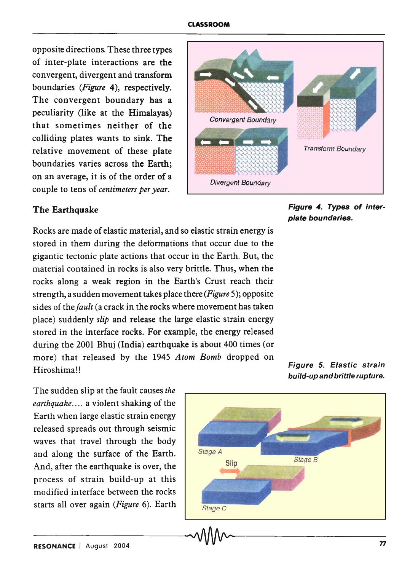opposite directions. These three types of inter-plate interactions are the convergent, divergent and transform boundaries *(Figure* 4), respectively. The convergent boundary has a peculiarity (like at the Himalayas) that sometimes neither of the colliding plates wants to sink. The relative movement of these plate boundaries varies across the Earth; on an average, it is of the order of a couple to tens of *centimeters per year.* 



The Earthquake

Figure 4. Types of interplate boundaries.

Rocks are made of elastic material, and so elastic strain energy is stored in them during the deformations that occur due to the gigantic tectonic plate actions that occur in the Earth. But, the material contained in rocks is also very brittle. Thus, when the rocks along a weak region in the Earth's Crust reach their strength, a sudden movement takes place there *(Figure* 5); opposite sides of the *fault* (a crack in the rocks where movement has taken place) suddenly *slip* and release the large elastic strain energy stored in the interface rocks. For example, the energy released during the 2001 Bhuj (India) earthquake is about 400 times (or more) that released by the 1945 *Atom Bomb* dropped on Hiroshima!!

The sudden slip at the fault causes *the earthquake ....* a violent shaking of the Earth when large elastic strain energy released spreads out through seismic waves that travel through the body and along the surface of the Earth. And, after the earthquake is over, the process of strain build-up at this modified interface between the rocks starts all over again *(Figure* 6). Earth